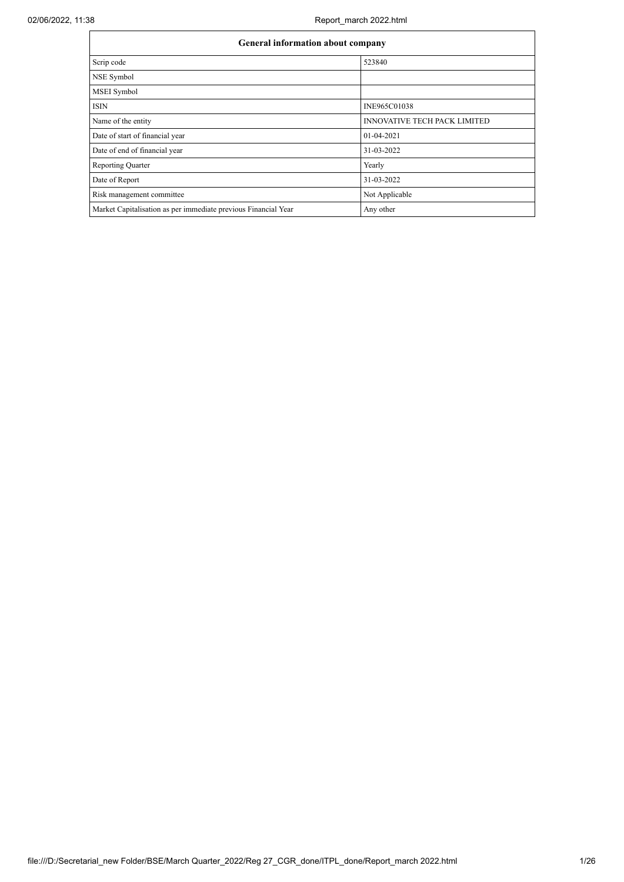| <b>General information about company</b>                       |                                     |  |  |  |  |  |  |
|----------------------------------------------------------------|-------------------------------------|--|--|--|--|--|--|
| Scrip code                                                     | 523840                              |  |  |  |  |  |  |
| NSE Symbol                                                     |                                     |  |  |  |  |  |  |
| <b>MSEI</b> Symbol                                             |                                     |  |  |  |  |  |  |
| <b>ISIN</b>                                                    | INE965C01038                        |  |  |  |  |  |  |
| Name of the entity                                             | <b>INNOVATIVE TECH PACK LIMITED</b> |  |  |  |  |  |  |
| Date of start of financial year                                | $01-04-2021$                        |  |  |  |  |  |  |
| Date of end of financial year                                  | 31-03-2022                          |  |  |  |  |  |  |
| <b>Reporting Quarter</b>                                       | Yearly                              |  |  |  |  |  |  |
| Date of Report                                                 | 31-03-2022                          |  |  |  |  |  |  |
| Risk management committee                                      | Not Applicable                      |  |  |  |  |  |  |
| Market Capitalisation as per immediate previous Financial Year | Any other                           |  |  |  |  |  |  |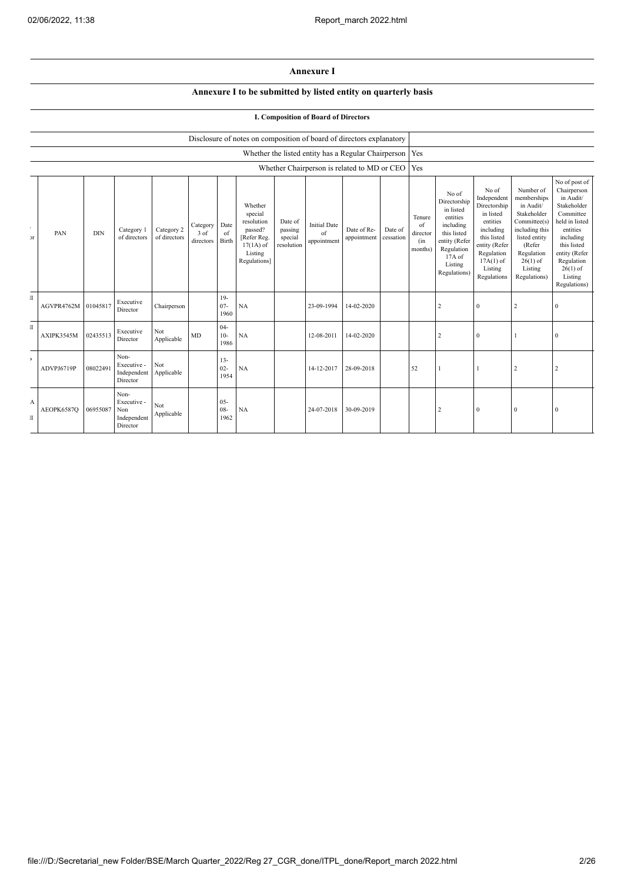## **Annexure I**

## **Annexure I to be submitted by listed entity on quarterly basis**

## **I. Composition of Board of Directors**

|                          |            | Disclosure of notes on composition of board of directors explanatory |                                                       |                            |                               |                          |                                                                                                      |                                             |                                          |                                                           |                      |                                            |                                                                                                                                                |                                                                                                                                                                   |                                                                                                                                                                          |                                                                                                                                                                                                         |
|--------------------------|------------|----------------------------------------------------------------------|-------------------------------------------------------|----------------------------|-------------------------------|--------------------------|------------------------------------------------------------------------------------------------------|---------------------------------------------|------------------------------------------|-----------------------------------------------------------|----------------------|--------------------------------------------|------------------------------------------------------------------------------------------------------------------------------------------------|-------------------------------------------------------------------------------------------------------------------------------------------------------------------|--------------------------------------------------------------------------------------------------------------------------------------------------------------------------|---------------------------------------------------------------------------------------------------------------------------------------------------------------------------------------------------------|
|                          |            |                                                                      |                                                       |                            |                               |                          |                                                                                                      |                                             |                                          | Whether the listed entity has a Regular Chairperson   Yes |                      |                                            |                                                                                                                                                |                                                                                                                                                                   |                                                                                                                                                                          |                                                                                                                                                                                                         |
|                          |            |                                                                      |                                                       |                            |                               |                          |                                                                                                      |                                             |                                          | Whether Chairperson is related to MD or CEO               |                      | Yes                                        |                                                                                                                                                |                                                                                                                                                                   |                                                                                                                                                                          |                                                                                                                                                                                                         |
| $\sim$<br>$\overline{a}$ | PAN        | <b>DIN</b>                                                           | Category 1<br>of directors                            | Category 2<br>of directors | Category<br>3 of<br>directors | Date<br>of<br>Birth      | Whether<br>special<br>resolution<br>passed?<br>[Refer Reg.<br>$17(1A)$ of<br>Listing<br>Regulations] | Date of<br>passing<br>special<br>resolution | <b>Initial Date</b><br>of<br>appointment | Date of Re-<br>appointment                                | Date of<br>cessation | Tenure<br>of<br>director<br>(in<br>months) | No of<br>Directorship<br>in listed<br>entities<br>including<br>this listed<br>entity (Refer<br>Regulation<br>17A of<br>Listing<br>Regulations) | No of<br>Independent<br>Directorship<br>in listed<br>entities<br>including<br>this listed<br>entity (Refer<br>Regulation<br>$17A(1)$ of<br>Listing<br>Regulations | Number of<br>memberships<br>in Audit/<br>Stakeholder<br>Committee(s)<br>including this<br>listed entity<br>(Refer<br>Regulation<br>$26(1)$ of<br>Listing<br>Regulations) | No of post of<br>Chairperson<br>in Audit/<br>Stakeholder<br>Committee<br>held in listed<br>entities<br>including<br>this listed<br>entity (Refer<br>Regulation<br>$26(1)$ of<br>Listing<br>Regulations) |
| $\mathbf{I}$             | AGVPR4762M | 01045817                                                             | Executive<br>Director                                 | Chairperson                |                               | $19-$<br>$07 -$<br>1960  | NA                                                                                                   |                                             | 23-09-1994                               | 14-02-2020                                                |                      |                                            | $\overline{2}$                                                                                                                                 | $\mathbf{0}$                                                                                                                                                      | 2                                                                                                                                                                        | $\mathbf{0}$                                                                                                                                                                                            |
| $\mathbf{I}$             | AXIPK3545M | 02435513                                                             | Executive<br>Director                                 | Not<br>Applicable          | MD                            | $04 -$<br>$10-$<br>1986  | NA                                                                                                   |                                             | 12-08-2011                               | 14-02-2020                                                |                      |                                            | $\overline{2}$                                                                                                                                 | $\theta$                                                                                                                                                          |                                                                                                                                                                          | $\mathbf{0}$                                                                                                                                                                                            |
| $\,$                     | ADVPJ6719P | 08022491                                                             | Non-<br>Executive -<br>Independent<br>Director        | Not<br>Applicable          |                               | $13 -$<br>$02 -$<br>1954 | NA                                                                                                   |                                             | 14-12-2017                               | 28-09-2018                                                |                      | 52                                         |                                                                                                                                                |                                                                                                                                                                   | $\overline{2}$                                                                                                                                                           | $\overline{2}$                                                                                                                                                                                          |
| A<br>$\mathbb{I}$        | AEOPK6587Q | 06955087                                                             | Non-<br>Executive -<br>Non<br>Independent<br>Director | Not<br>Applicable          |                               | $05 -$<br>$08 -$<br>1962 | NA                                                                                                   |                                             | 24-07-2018                               | 30-09-2019                                                |                      |                                            | $\overline{2}$                                                                                                                                 | $\mathbf{0}$                                                                                                                                                      | $\mathbf{0}$                                                                                                                                                             | $\mathbf{0}$                                                                                                                                                                                            |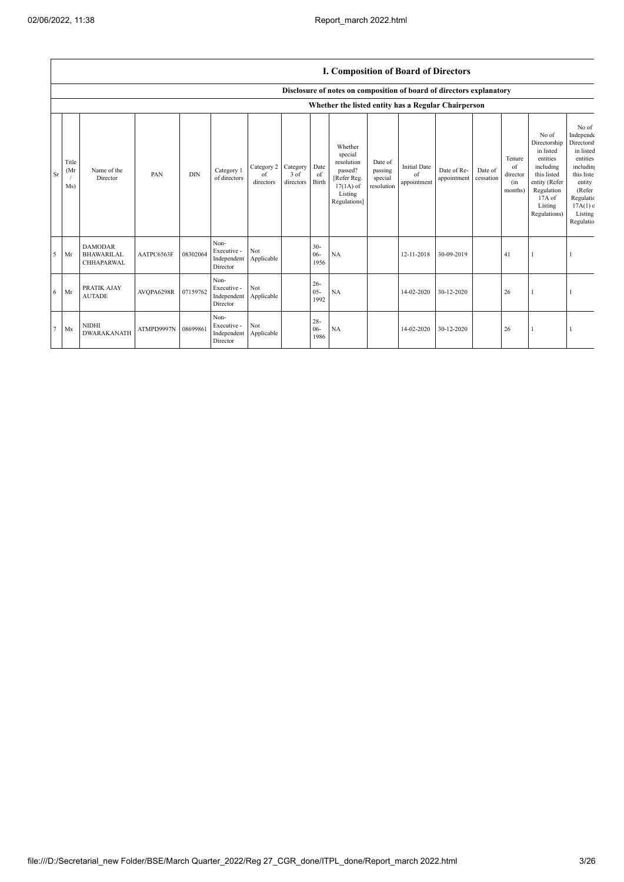$\overline{1}$ 

|        |                      | <b>I. Composition of Board of Directors</b>       |            |            |                                                |                                        |                   |                          |                                                                                                      |                                             |                                          |                            |                      |                                            |                                                                                                                                                |                                                                                                                                                         |
|--------|----------------------|---------------------------------------------------|------------|------------|------------------------------------------------|----------------------------------------|-------------------|--------------------------|------------------------------------------------------------------------------------------------------|---------------------------------------------|------------------------------------------|----------------------------|----------------------|--------------------------------------------|------------------------------------------------------------------------------------------------------------------------------------------------|---------------------------------------------------------------------------------------------------------------------------------------------------------|
|        |                      |                                                   |            |            |                                                |                                        |                   |                          | Disclosure of notes on composition of board of directors explanatory                                 |                                             |                                          |                            |                      |                                            |                                                                                                                                                |                                                                                                                                                         |
|        |                      |                                                   |            |            |                                                |                                        |                   |                          | Whether the listed entity has a Regular Chairperson                                                  |                                             |                                          |                            |                      |                                            |                                                                                                                                                |                                                                                                                                                         |
| Sr     | Title<br>(Mr)<br>Ms) | Name of the<br>Director                           | PAN        | <b>DIN</b> | Category 1<br>of directors                     | Category 2 Category<br>of<br>directors | 3 of<br>directors | Date<br>of<br>Birth      | Whether<br>special<br>resolution<br>passed?<br>[Refer Reg.<br>$17(1A)$ of<br>Listing<br>Regulations] | Date of<br>passing<br>special<br>resolution | <b>Initial Date</b><br>of<br>appointment | Date of Re-<br>appointment | Date of<br>cessation | Tenure<br>of<br>director<br>(in<br>months) | No of<br>Directorship<br>in listed<br>entities<br>including<br>this listed<br>entity (Refer<br>Regulation<br>17A of<br>Listing<br>Regulations) | No of<br>Independe<br>Directorsh<br>in listed<br>entities<br>including<br>this liste<br>entity<br>(Refer<br>Regulatic<br>17A(1)<br>Listing<br>Regulatio |
| 5      | Mr                   | <b>DAMODAR</b><br><b>BHAWARILAL</b><br>CHHAPARWAL | AATPC6563F | 08302064   | Non-<br>Executive -<br>Independent<br>Director | Not<br>Applicable                      |                   | $30 -$<br>$06 -$<br>1956 | NA                                                                                                   |                                             | 12-11-2018                               | 30-09-2019                 |                      | 41                                         |                                                                                                                                                |                                                                                                                                                         |
| 6      | Mr                   | PRATIK AJAY<br><b>AUTADE</b>                      | AVOPA6298R | 07159762   | Non-<br>Executive -<br>Independent<br>Director | Not<br>Applicable                      |                   | $26 -$<br>$05 -$<br>1992 | NA                                                                                                   |                                             | 14-02-2020                               | 30-12-2020                 |                      | 26                                         |                                                                                                                                                |                                                                                                                                                         |
| $\tau$ | Ms                   | <b>NIDHI</b><br>DWARAKANATH                       | ATMPD9997N | 08699861   | Non-<br>Executive -<br>Independent<br>Director | Not<br>Applicable                      |                   | $28 -$<br>$06 -$<br>1986 | NA                                                                                                   |                                             | 14-02-2020                               | 30-12-2020                 |                      | 26                                         |                                                                                                                                                |                                                                                                                                                         |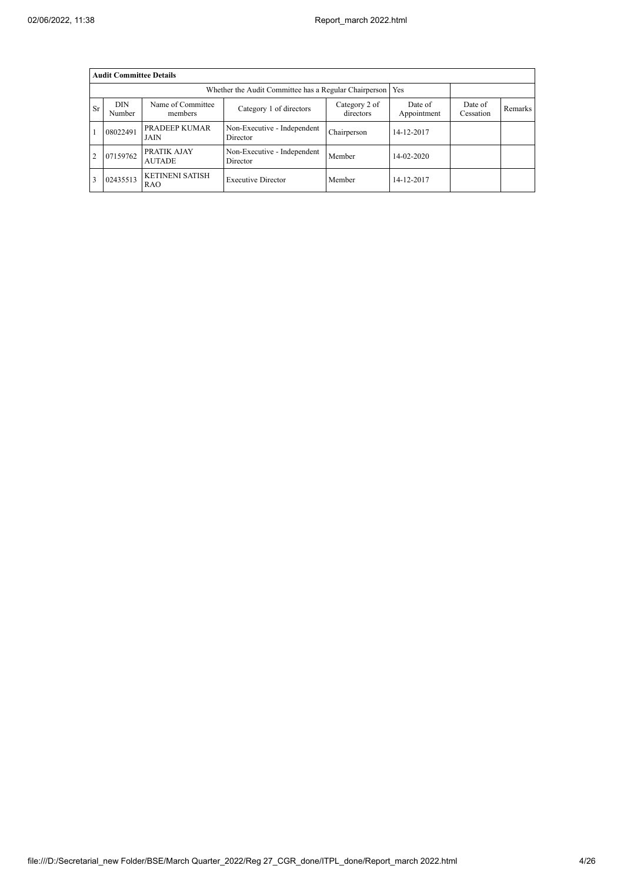|           | <b>Audit Committee Details</b> |                                      |                                         |                      |            |  |  |  |  |  |  |
|-----------|--------------------------------|--------------------------------------|-----------------------------------------|----------------------|------------|--|--|--|--|--|--|
|           |                                | Yes                                  |                                         |                      |            |  |  |  |  |  |  |
| <b>Sr</b> | <b>DIN</b><br>Number           | Name of Committee<br>members         | Date of<br>Appointment                  | Date of<br>Cessation | Remarks    |  |  |  |  |  |  |
|           | 08022491                       | PRADEEP KUMAR<br><b>JAIN</b>         | Non-Executive - Independent<br>Director | Chairperson          | 14-12-2017 |  |  |  |  |  |  |
| 2         | 07159762                       | PRATIK AJAY<br><b>AUTADE</b>         | Non-Executive - Independent<br>Director | Member               | 14-02-2020 |  |  |  |  |  |  |
|           | 02435513                       | <b>KETINENI SATISH</b><br><b>RAO</b> | <b>Executive Director</b>               | Member               | 14-12-2017 |  |  |  |  |  |  |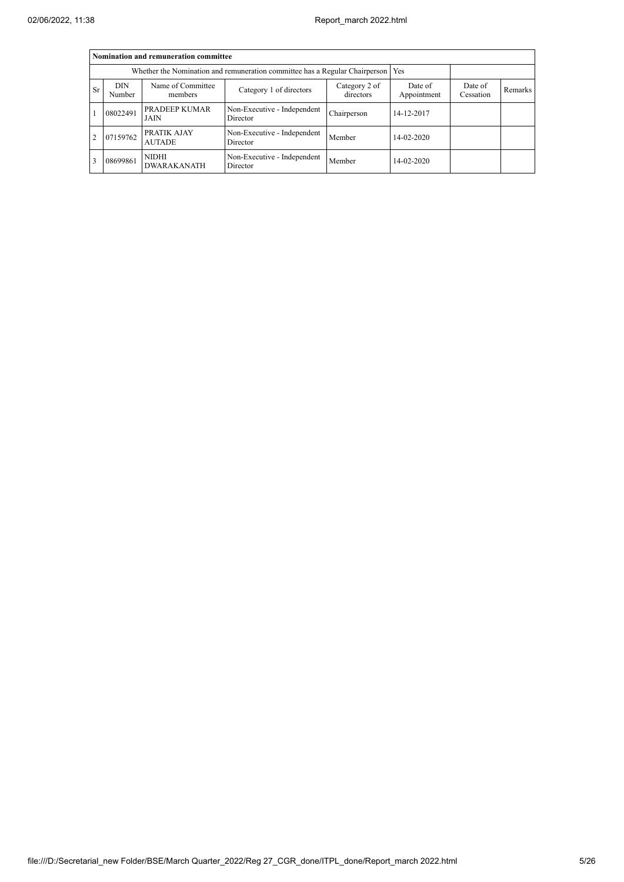|                | Nomination and remuneration committee                                       |                                    |                                         |                      |                  |  |  |  |  |  |  |
|----------------|-----------------------------------------------------------------------------|------------------------------------|-----------------------------------------|----------------------|------------------|--|--|--|--|--|--|
|                | Whether the Nomination and remuneration committee has a Regular Chairperson |                                    |                                         |                      |                  |  |  |  |  |  |  |
| <b>Sr</b>      | <b>DIN</b><br>Number                                                        | Name of Committee<br>members       | Date of<br>Appointment                  | Date of<br>Cessation | Remarks          |  |  |  |  |  |  |
|                | 08022491                                                                    | PRADEEP KUMAR<br>JAIN              | Non-Executive - Independent<br>Director | Chairperson          | 14-12-2017       |  |  |  |  |  |  |
| $\overline{2}$ | 07159762                                                                    | PRATIK AJAY<br><b>AUTADE</b>       | Non-Executive - Independent<br>Director | Member               | $14 - 02 - 2020$ |  |  |  |  |  |  |
| 3              | 08699861                                                                    | <b>NIDHI</b><br><b>DWARAKANATH</b> | Non-Executive - Independent<br>Director | Member               | $14 - 02 - 2020$ |  |  |  |  |  |  |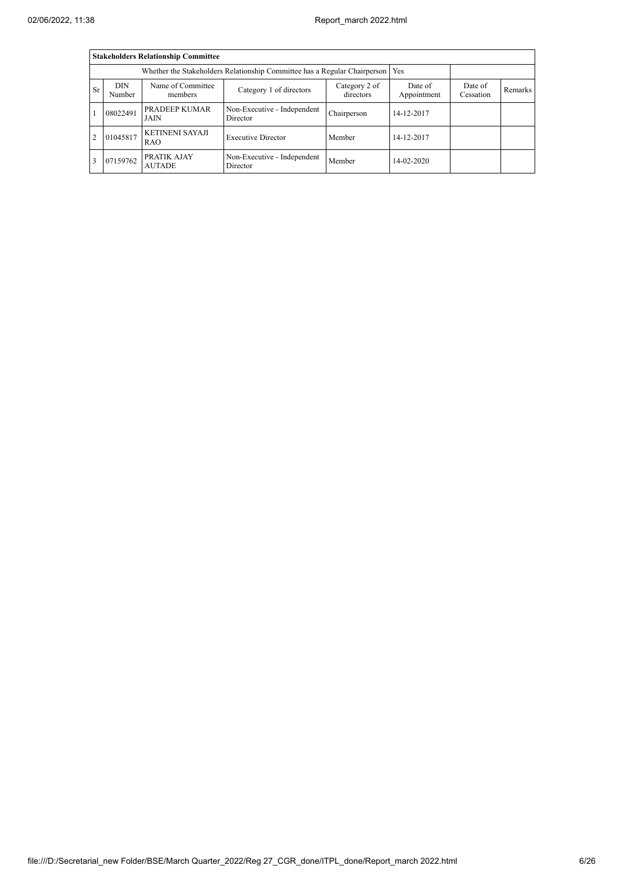|               | <b>Stakeholders Relationship Committee</b> |                                     |                                         |                      |            |  |  |  |  |  |  |
|---------------|--------------------------------------------|-------------------------------------|-----------------------------------------|----------------------|------------|--|--|--|--|--|--|
|               |                                            |                                     |                                         |                      |            |  |  |  |  |  |  |
| <b>Sr</b>     | DIN<br>Number                              | Name of Committee<br>members        | Date of<br>Appointment                  | Date of<br>Cessation | Remarks    |  |  |  |  |  |  |
|               | 08022491                                   | PRADEEP KUMAR<br>JAIN               | Non-Executive - Independent<br>Director | Chairperson          | 14-12-2017 |  |  |  |  |  |  |
| $\mathcal{D}$ | 01045817                                   | <b>KETINENI SAYAJI</b><br>RAO       | <b>Executive Director</b>               | Member               | 14-12-2017 |  |  |  |  |  |  |
|               | 07159762                                   | <b>PRATIK AJAY</b><br><b>AUTADE</b> | Non-Executive - Independent<br>Director | Member               | 14-02-2020 |  |  |  |  |  |  |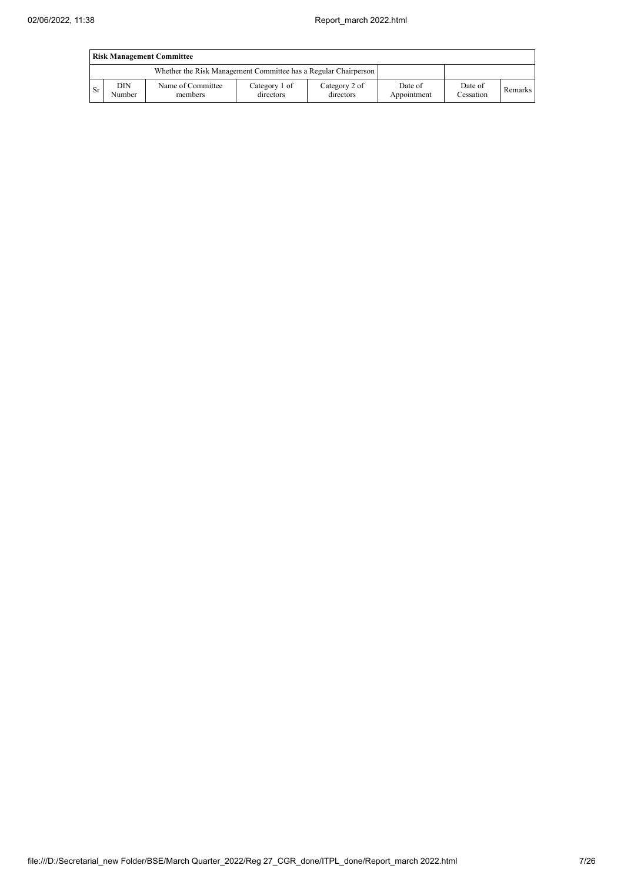|           | <b>Risk Management Committee</b> |                                                                 |                            |                            |                        |                      |         |  |  |
|-----------|----------------------------------|-----------------------------------------------------------------|----------------------------|----------------------------|------------------------|----------------------|---------|--|--|
|           |                                  | Whether the Risk Management Committee has a Regular Chairperson |                            |                            |                        |                      |         |  |  |
| <b>Sr</b> | DIN<br>Number                    | Name of Committee<br>members                                    | Category 1 of<br>directors | Category 2 of<br>directors | Date of<br>Appointment | Date of<br>Cessation | Remarks |  |  |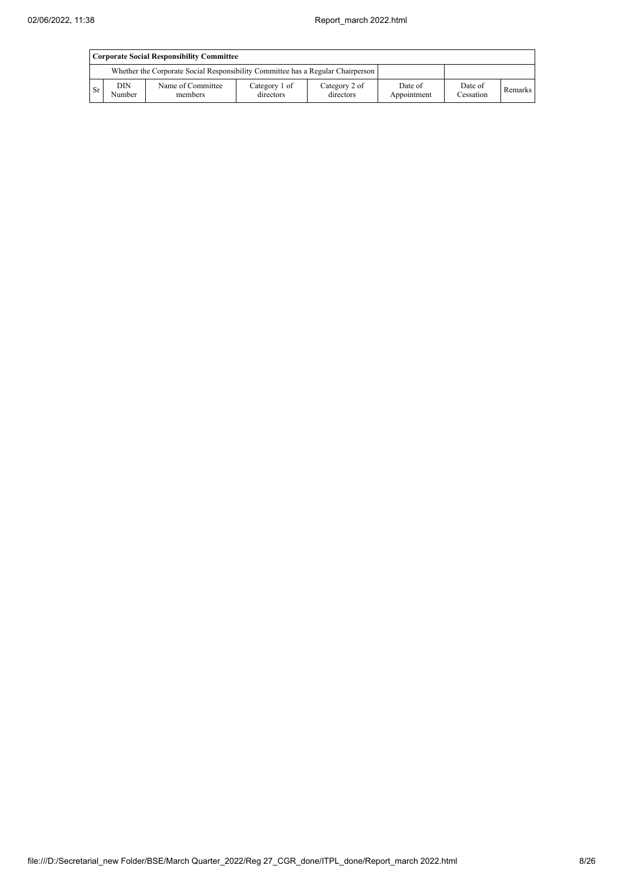|           | Corporate Social Responsibility Committee |                                                                                 |                            |                            |                        |                      |         |  |  |
|-----------|-------------------------------------------|---------------------------------------------------------------------------------|----------------------------|----------------------------|------------------------|----------------------|---------|--|--|
|           |                                           | Whether the Corporate Social Responsibility Committee has a Regular Chairperson |                            |                            |                        |                      |         |  |  |
| <b>Sr</b> | DIN<br>Number                             | Name of Committee<br>members                                                    | Category 1 of<br>directors | Category 2 of<br>directors | Date of<br>Appointment | Date of<br>Cessation | Remarks |  |  |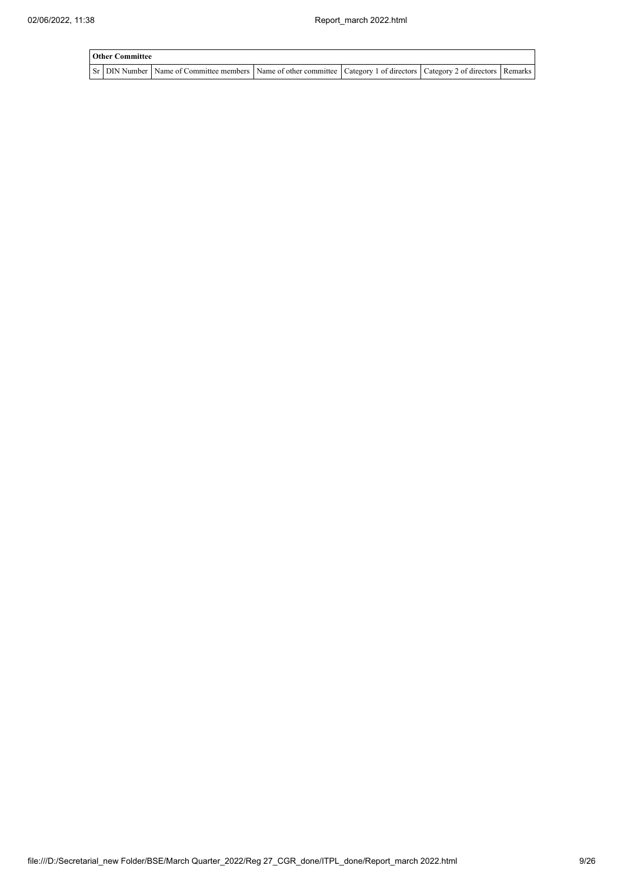| <b>Other Committee</b> |                                                                                                                                     |  |  |  |  |  |  |  |  |  |
|------------------------|-------------------------------------------------------------------------------------------------------------------------------------|--|--|--|--|--|--|--|--|--|
|                        | Sr   DIN Number   Name of Committee members   Name of other committee   Category 1 of directors   Category 2 of directors   Remarks |  |  |  |  |  |  |  |  |  |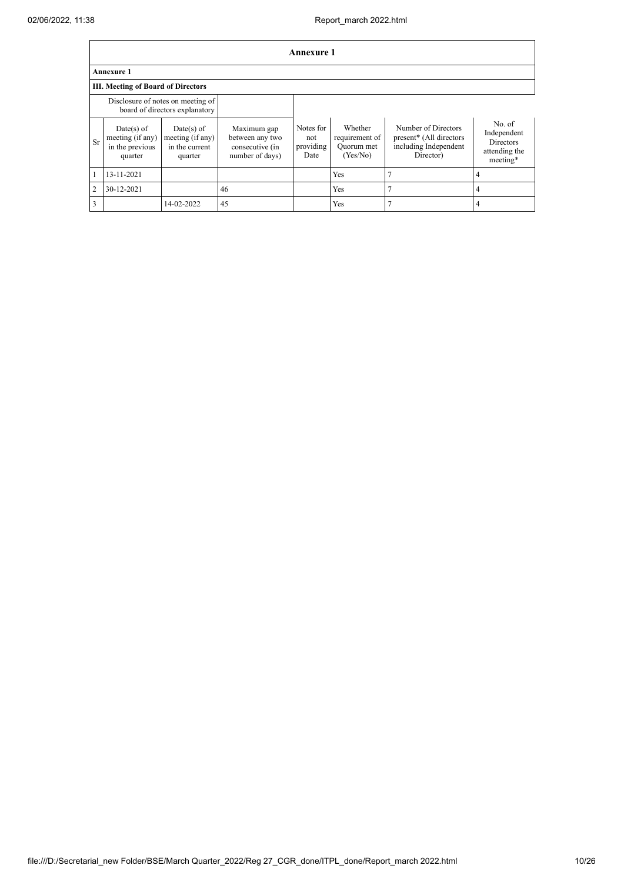|                | <b>Annexure 1</b>                                                   |                                                                  |                                                                      |                                       |                                                     |                                                                                                  |                                                                 |  |  |
|----------------|---------------------------------------------------------------------|------------------------------------------------------------------|----------------------------------------------------------------------|---------------------------------------|-----------------------------------------------------|--------------------------------------------------------------------------------------------------|-----------------------------------------------------------------|--|--|
|                | <b>Annexure 1</b>                                                   |                                                                  |                                                                      |                                       |                                                     |                                                                                                  |                                                                 |  |  |
|                | <b>III. Meeting of Board of Directors</b>                           |                                                                  |                                                                      |                                       |                                                     |                                                                                                  |                                                                 |  |  |
|                | Disclosure of notes on meeting of<br>board of directors explanatory |                                                                  |                                                                      |                                       |                                                     |                                                                                                  |                                                                 |  |  |
| <b>Sr</b>      | Date(s) of<br>meeting (if any)<br>in the previous<br>quarter        | $Date(s)$ of<br>meeting $(i f any)$<br>in the current<br>quarter | Maximum gap<br>between any two<br>consecutive (in<br>number of days) | Notes for<br>not<br>providing<br>Date | Whether<br>requirement of<br>Quorum met<br>(Yes/No) | Number of Directors<br>present <sup>*</sup> (All directors<br>including Independent<br>Director) | No. of<br>Independent<br>Directors<br>attending the<br>meeting* |  |  |
|                | 13-11-2021                                                          |                                                                  |                                                                      |                                       | Yes                                                 |                                                                                                  | 4                                                               |  |  |
| $\overline{2}$ | 30-12-2021                                                          |                                                                  | 46                                                                   |                                       | Yes                                                 |                                                                                                  | 4                                                               |  |  |
| 3              |                                                                     | 14-02-2022                                                       | 45                                                                   |                                       | Yes                                                 |                                                                                                  |                                                                 |  |  |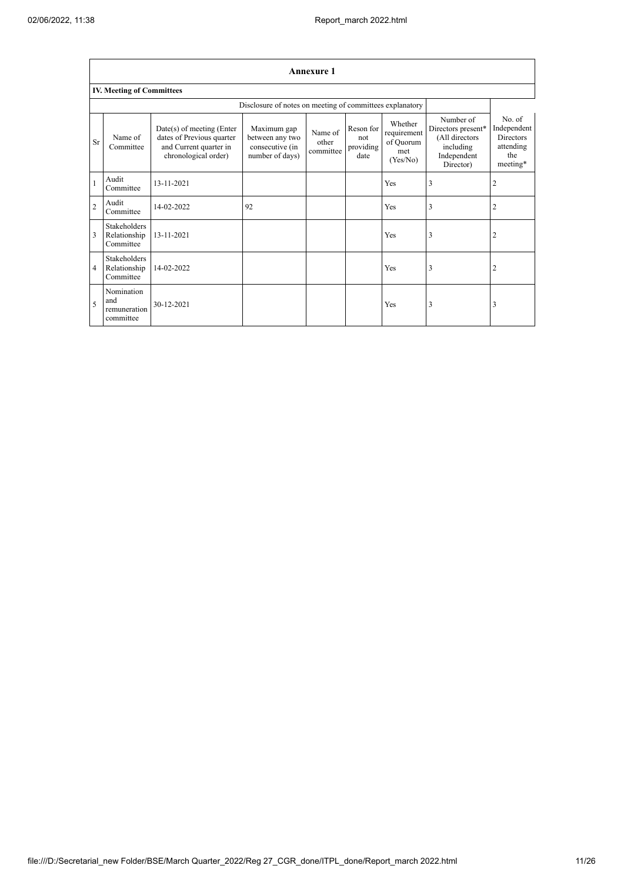$\mathsf{r}$ 

|                          | <b>Annexure 1</b>                                        |                                                                                                            |                                                                      |                               |                                       |                                                        |                                                                                            |                                                                           |  |  |  |
|--------------------------|----------------------------------------------------------|------------------------------------------------------------------------------------------------------------|----------------------------------------------------------------------|-------------------------------|---------------------------------------|--------------------------------------------------------|--------------------------------------------------------------------------------------------|---------------------------------------------------------------------------|--|--|--|
|                          | <b>IV. Meeting of Committees</b>                         |                                                                                                            |                                                                      |                               |                                       |                                                        |                                                                                            |                                                                           |  |  |  |
|                          | Disclosure of notes on meeting of committees explanatory |                                                                                                            |                                                                      |                               |                                       |                                                        |                                                                                            |                                                                           |  |  |  |
| <b>Sr</b>                | Name of<br>Committee                                     | $Date(s)$ of meeting (Enter<br>dates of Previous quarter<br>and Current quarter in<br>chronological order) | Maximum gap<br>between any two<br>consecutive (in<br>number of days) | Name of<br>other<br>committee | Reson for<br>not<br>providing<br>date | Whether<br>requirement<br>of Quorum<br>met<br>(Yes/No) | Number of<br>Directors present*<br>(All directors<br>including<br>Independent<br>Director) | No. of<br>Independent<br><b>Directors</b><br>attending<br>the<br>meeting* |  |  |  |
|                          | Audit<br>Committee                                       | 13-11-2021                                                                                                 |                                                                      |                               |                                       | Yes                                                    | 3                                                                                          | $\overline{2}$                                                            |  |  |  |
| $\overline{2}$           | Audit<br>Committee                                       | 14-02-2022                                                                                                 | 92                                                                   |                               |                                       | Yes                                                    | 3                                                                                          | $\overline{2}$                                                            |  |  |  |
| 3                        | <b>Stakeholders</b><br>Relationship<br>Committee         | 13-11-2021                                                                                                 |                                                                      |                               |                                       | Yes                                                    | 3                                                                                          | $\overline{2}$                                                            |  |  |  |
| $\overline{4}$           | <b>Stakeholders</b><br>Relationship<br>Committee         | 14-02-2022                                                                                                 |                                                                      |                               |                                       | Yes                                                    | 3                                                                                          | $\overline{\mathbf{c}}$                                                   |  |  |  |
| $\overline{\phantom{0}}$ | Nomination<br>and<br>remuneration<br>committee           | 30-12-2021                                                                                                 |                                                                      |                               |                                       | Yes                                                    | 3                                                                                          | 3                                                                         |  |  |  |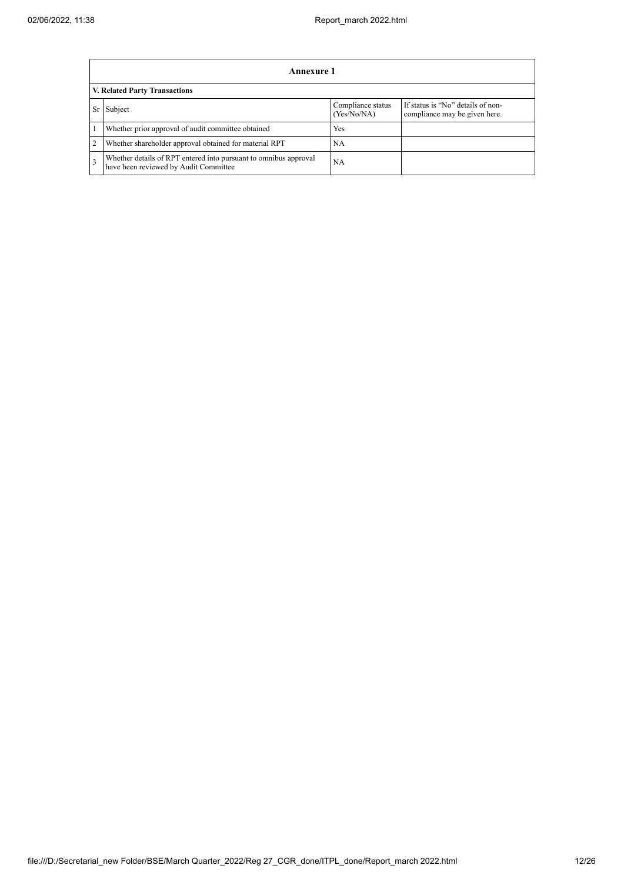|                | Annexure 1                                                                                                |                                  |                                                                    |  |  |  |  |  |  |
|----------------|-----------------------------------------------------------------------------------------------------------|----------------------------------|--------------------------------------------------------------------|--|--|--|--|--|--|
|                | V. Related Party Transactions                                                                             |                                  |                                                                    |  |  |  |  |  |  |
| <b>Sr</b>      | Subject                                                                                                   | Compliance status<br>(Yes/No/NA) | If status is "No" details of non-<br>compliance may be given here. |  |  |  |  |  |  |
|                | Whether prior approval of audit committee obtained                                                        | Yes                              |                                                                    |  |  |  |  |  |  |
| $\overline{2}$ | Whether shareholder approval obtained for material RPT                                                    | <b>NA</b>                        |                                                                    |  |  |  |  |  |  |
| 3              | Whether details of RPT entered into pursuant to omnibus approval<br>have been reviewed by Audit Committee | NA                               |                                                                    |  |  |  |  |  |  |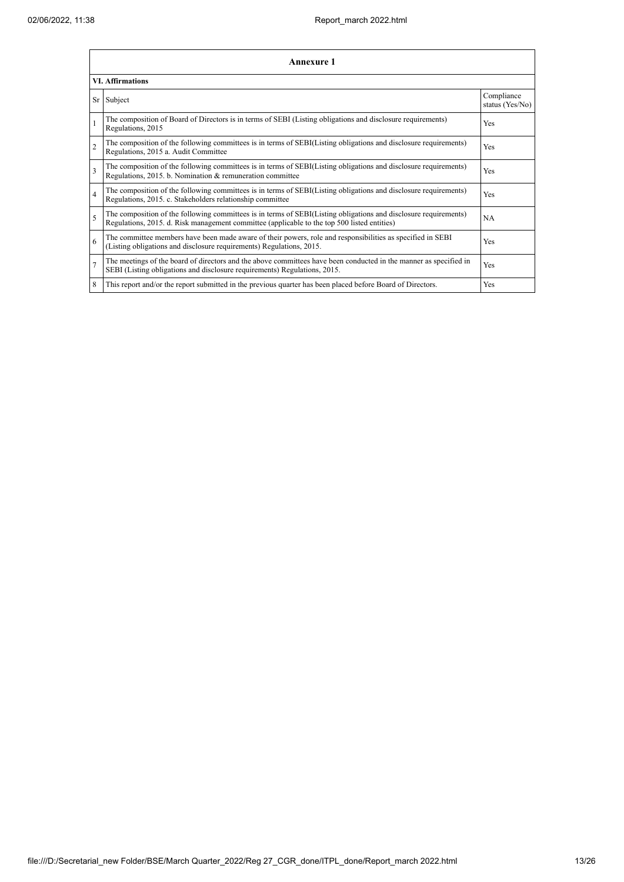|                         | Annexure 1                                                                                                                                                                                                      |                               |
|-------------------------|-----------------------------------------------------------------------------------------------------------------------------------------------------------------------------------------------------------------|-------------------------------|
|                         | <b>VI.</b> Affirmations                                                                                                                                                                                         |                               |
|                         | Sr Subject                                                                                                                                                                                                      | Compliance<br>status (Yes/No) |
|                         | The composition of Board of Directors is in terms of SEBI (Listing obligations and disclosure requirements)<br>Regulations, 2015                                                                                | Yes                           |
| $\overline{2}$          | The composition of the following committees is in terms of SEBI(Listing obligations and disclosure requirements)<br>Regulations, 2015 a. Audit Committee                                                        | Yes                           |
| $\overline{\mathbf{3}}$ | The composition of the following committees is in terms of SEBI(Listing obligations and disclosure requirements)<br>Regulations, 2015. b. Nomination & remuneration committee                                   | Yes                           |
| $\overline{4}$          | The composition of the following committees is in terms of SEBI(Listing obligations and disclosure requirements)<br>Regulations, 2015. c. Stakeholders relationship committee                                   | Yes                           |
| 5                       | The composition of the following committees is in terms of SEBI(Listing obligations and disclosure requirements)<br>Regulations, 2015. d. Risk management committee (applicable to the top 500 listed entities) | NA                            |
| 6                       | The committee members have been made aware of their powers, role and responsibilities as specified in SEBI<br>(Listing obligations and disclosure requirements) Regulations, 2015.                              | Yes                           |
| $\overline{7}$          | The meetings of the board of directors and the above committees have been conducted in the manner as specified in<br>SEBI (Listing obligations and disclosure requirements) Regulations, 2015.                  | Yes                           |
| 8                       | This report and/or the report submitted in the previous quarter has been placed before Board of Directors.                                                                                                      | Yes                           |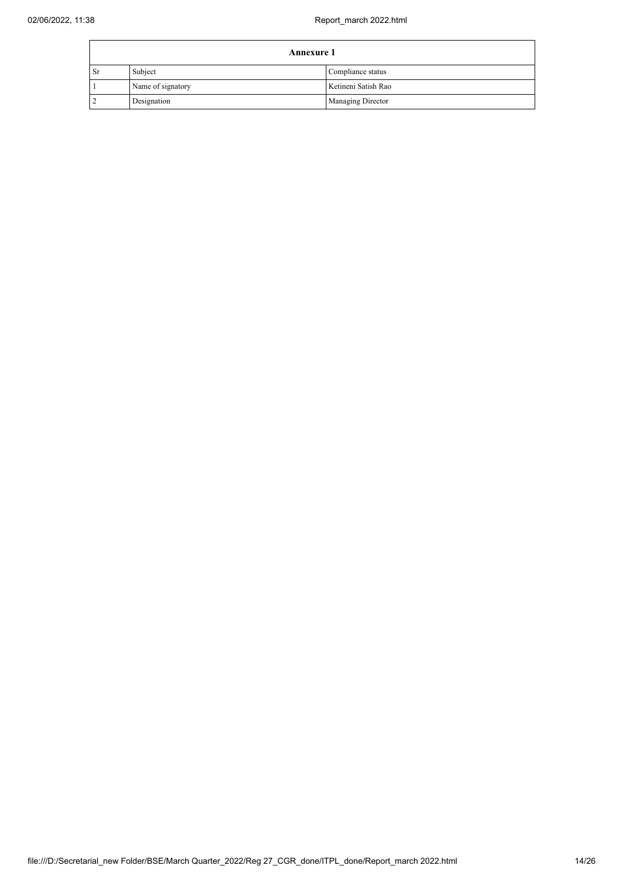|           | <b>Annexure 1</b> |                          |  |  |
|-----------|-------------------|--------------------------|--|--|
| <b>Sr</b> | Subject           | Compliance status        |  |  |
|           | Name of signatory | Ketineni Satish Rao      |  |  |
|           | Designation       | <b>Managing Director</b> |  |  |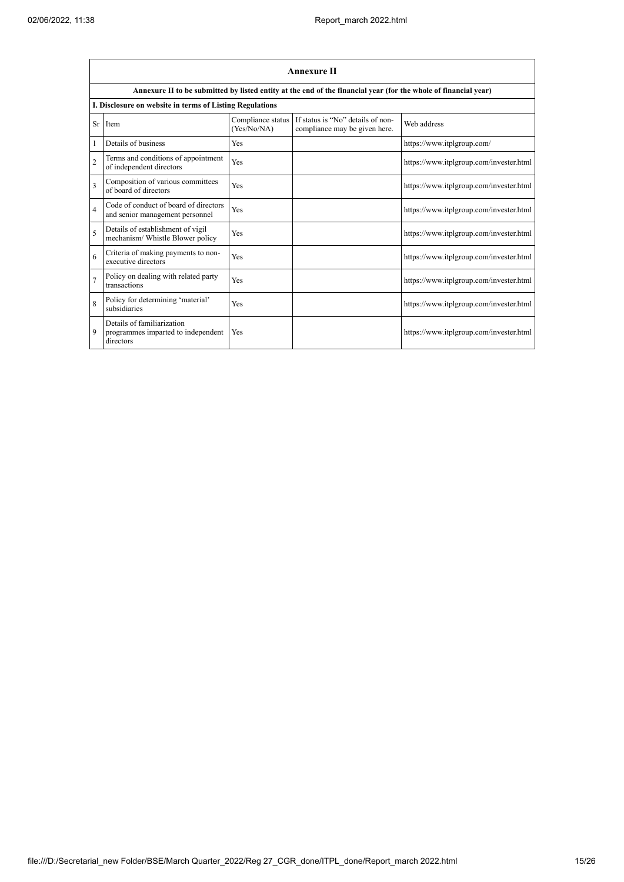'n

|                         | <b>Annexure II</b>                                                            |                                  |                                                                                                                 |                                         |  |  |
|-------------------------|-------------------------------------------------------------------------------|----------------------------------|-----------------------------------------------------------------------------------------------------------------|-----------------------------------------|--|--|
|                         |                                                                               |                                  | Annexure II to be submitted by listed entity at the end of the financial year (for the whole of financial year) |                                         |  |  |
|                         | I. Disclosure on website in terms of Listing Regulations                      |                                  |                                                                                                                 |                                         |  |  |
| <b>Sr</b>               | Item                                                                          | Compliance status<br>(Yes/No/NA) | If status is "No" details of non-<br>compliance may be given here.                                              | Web address                             |  |  |
|                         | Details of business                                                           | <b>Yes</b>                       |                                                                                                                 | https://www.itplgroup.com/              |  |  |
| $\overline{2}$          | Terms and conditions of appointment<br>of independent directors               | Yes                              |                                                                                                                 | https://www.itplgroup.com/invester.html |  |  |
| $\overline{\mathbf{3}}$ | Composition of various committees<br>of board of directors                    | Yes                              |                                                                                                                 | https://www.itplgroup.com/invester.html |  |  |
| $\overline{4}$          | Code of conduct of board of directors<br>and senior management personnel      | Yes                              |                                                                                                                 | https://www.itplgroup.com/invester.html |  |  |
| 5                       | Details of establishment of vigil<br>mechanism/ Whistle Blower policy         | Yes                              |                                                                                                                 | https://www.itplgroup.com/invester.html |  |  |
| 6                       | Criteria of making payments to non-<br>executive directors                    | Yes                              |                                                                                                                 | https://www.itplgroup.com/invester.html |  |  |
| $\overline{7}$          | Policy on dealing with related party<br>transactions                          | Yes                              |                                                                                                                 | https://www.itplgroup.com/invester.html |  |  |
| $\mathbf{\hat{R}}$      | Policy for determining 'material'<br>subsidiaries                             | Yes                              |                                                                                                                 | https://www.itplgroup.com/invester.html |  |  |
| 9                       | Details of familiarization<br>programmes imparted to independent<br>directors | Yes                              |                                                                                                                 | https://www.itplgroup.com/invester.html |  |  |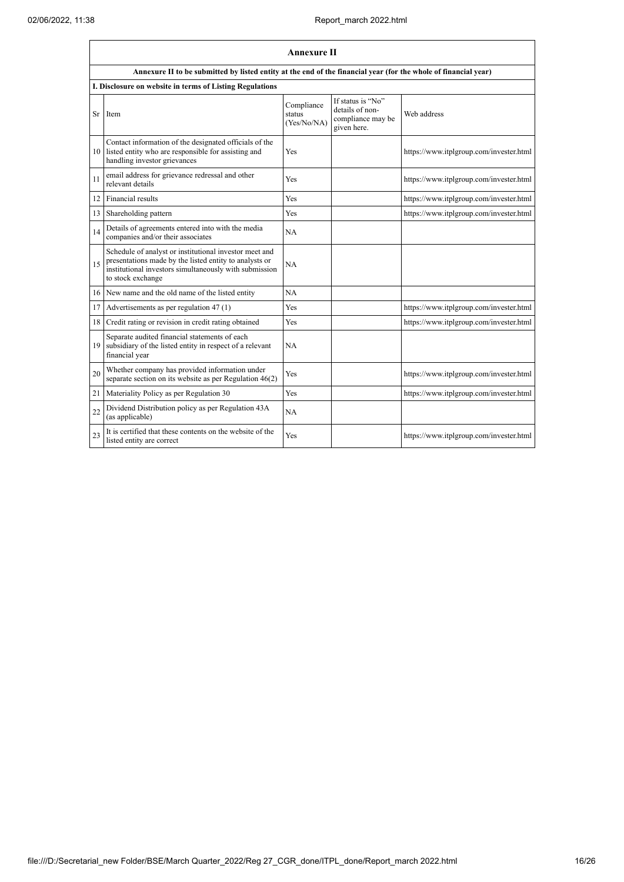|    | <b>Annexure II</b>                                                                                                                                                                              |                                     |                                                                          |                                         |  |
|----|-------------------------------------------------------------------------------------------------------------------------------------------------------------------------------------------------|-------------------------------------|--------------------------------------------------------------------------|-----------------------------------------|--|
|    | Annexure II to be submitted by listed entity at the end of the financial year (for the whole of financial year)                                                                                 |                                     |                                                                          |                                         |  |
|    | I. Disclosure on website in terms of Listing Regulations                                                                                                                                        |                                     |                                                                          |                                         |  |
| Sr | Item                                                                                                                                                                                            | Compliance<br>status<br>(Yes/No/NA) | If status is "No"<br>details of non-<br>compliance may be<br>given here. | Web address                             |  |
| 10 | Contact information of the designated officials of the<br>listed entity who are responsible for assisting and<br>handling investor grievances                                                   | Yes                                 |                                                                          | https://www.itplgroup.com/invester.html |  |
| 11 | email address for grievance redressal and other<br>relevant details                                                                                                                             | Yes                                 |                                                                          | https://www.itplgroup.com/invester.html |  |
| 12 | Financial results                                                                                                                                                                               | Yes                                 |                                                                          | https://www.itplgroup.com/invester.html |  |
| 13 | Shareholding pattern                                                                                                                                                                            | Yes                                 |                                                                          | https://www.itplgroup.com/invester.html |  |
| 14 | Details of agreements entered into with the media<br>companies and/or their associates                                                                                                          | NA                                  |                                                                          |                                         |  |
| 15 | Schedule of analyst or institutional investor meet and<br>presentations made by the listed entity to analysts or<br>institutional investors simultaneously with submission<br>to stock exchange | NA                                  |                                                                          |                                         |  |
| 16 | New name and the old name of the listed entity                                                                                                                                                  | NA                                  |                                                                          |                                         |  |
| 17 | Advertisements as per regulation 47 (1)                                                                                                                                                         | <b>Yes</b>                          |                                                                          | https://www.itplgroup.com/invester.html |  |
| 18 | Credit rating or revision in credit rating obtained                                                                                                                                             | Yes                                 |                                                                          | https://www.itplgroup.com/invester.html |  |
| 19 | Separate audited financial statements of each<br>subsidiary of the listed entity in respect of a relevant<br>financial year                                                                     | NA                                  |                                                                          |                                         |  |
| 20 | Whether company has provided information under<br>separate section on its website as per Regulation $46(2)$                                                                                     | <b>Yes</b>                          |                                                                          | https://www.itplgroup.com/invester.html |  |
| 21 | Materiality Policy as per Regulation 30                                                                                                                                                         | <b>Yes</b>                          |                                                                          | https://www.itplgroup.com/invester.html |  |
| 22 | Dividend Distribution policy as per Regulation 43A<br>(as applicable)                                                                                                                           | NA                                  |                                                                          |                                         |  |
| 23 | It is certified that these contents on the website of the<br>listed entity are correct                                                                                                          | Yes                                 |                                                                          | https://www.itplgroup.com/invester.html |  |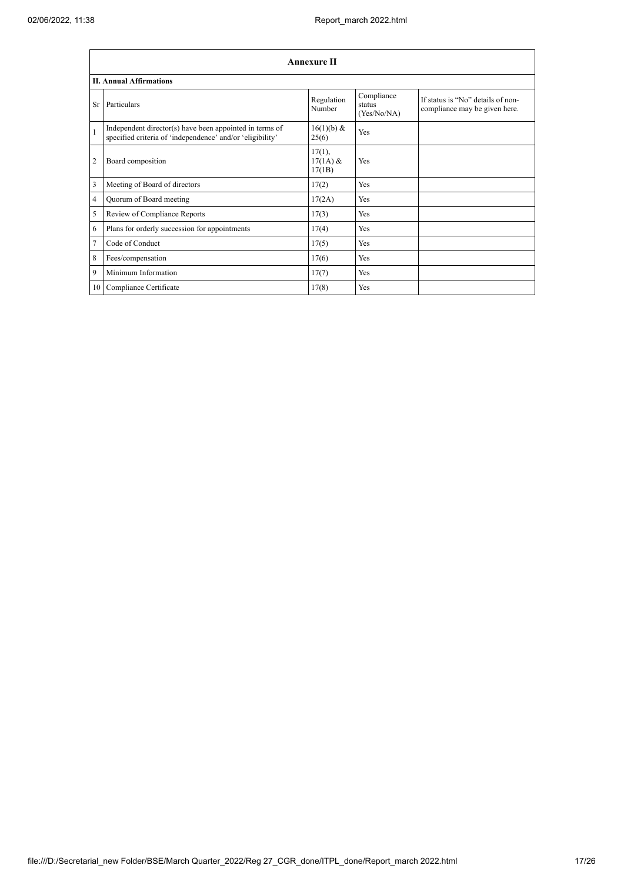|                | <b>Annexure II</b>                                                                                                   |                                   |                                     |                                                                    |  |  |
|----------------|----------------------------------------------------------------------------------------------------------------------|-----------------------------------|-------------------------------------|--------------------------------------------------------------------|--|--|
|                | <b>II. Annual Affirmations</b>                                                                                       |                                   |                                     |                                                                    |  |  |
| Sr             | Particulars                                                                                                          | Regulation<br>Number              | Compliance<br>status<br>(Yes/No/NA) | If status is "No" details of non-<br>compliance may be given here. |  |  |
| $\mathbf{1}$   | Independent director(s) have been appointed in terms of<br>specified criteria of 'independence' and/or 'eligibility' | 16(1)(b) &<br>25(6)               | Yes                                 |                                                                    |  |  |
| $\overline{2}$ | Board composition                                                                                                    | $17(1)$ ,<br>$17(1A)$ &<br>17(1B) | Yes                                 |                                                                    |  |  |
| 3              | Meeting of Board of directors                                                                                        | 17(2)                             | Yes                                 |                                                                    |  |  |
| $\overline{4}$ | Quorum of Board meeting                                                                                              | 17(2A)                            | Yes                                 |                                                                    |  |  |
| 5              | Review of Compliance Reports                                                                                         | 17(3)                             | Yes                                 |                                                                    |  |  |
| 6              | Plans for orderly succession for appointments                                                                        | 17(4)                             | Yes                                 |                                                                    |  |  |
| $\overline{7}$ | Code of Conduct                                                                                                      | 17(5)                             | Yes                                 |                                                                    |  |  |
| 8              | Fees/compensation                                                                                                    | 17(6)                             | Yes                                 |                                                                    |  |  |
| 9              | Minimum Information                                                                                                  | 17(7)                             | Yes                                 |                                                                    |  |  |
| 10             | Compliance Certificate                                                                                               | 17(8)                             | Yes                                 |                                                                    |  |  |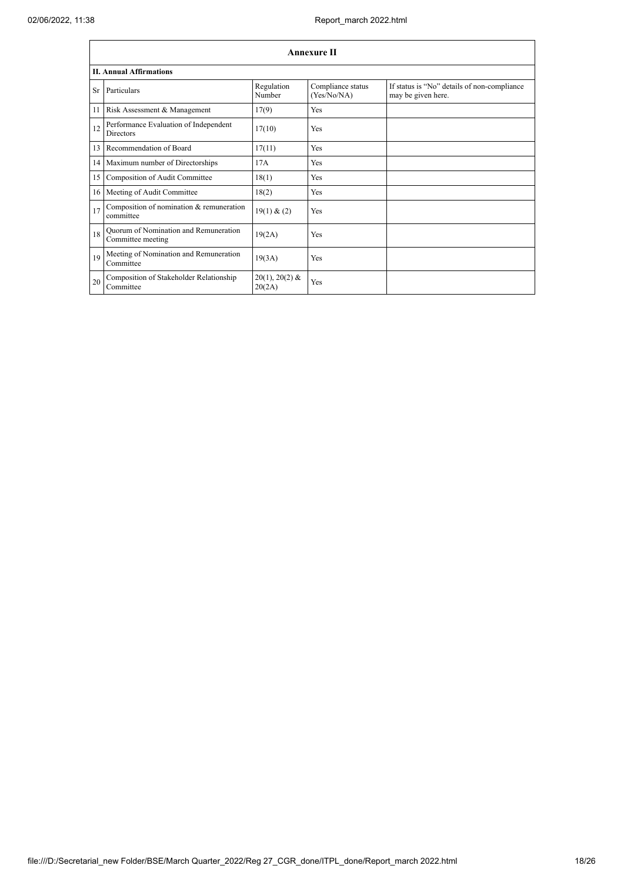|           | <b>Annexure II</b>                                         |                            |                                  |                                                                   |  |  |
|-----------|------------------------------------------------------------|----------------------------|----------------------------------|-------------------------------------------------------------------|--|--|
|           | <b>II. Annual Affirmations</b>                             |                            |                                  |                                                                   |  |  |
| <b>Sr</b> | Particulars                                                | Regulation<br>Number       | Compliance status<br>(Yes/No/NA) | If status is "No" details of non-compliance<br>may be given here. |  |  |
| 11        | Risk Assessment & Management                               | 17(9)                      | <b>Yes</b>                       |                                                                   |  |  |
| 12        | Performance Evaluation of Independent<br><b>Directors</b>  | 17(10)                     | <b>Yes</b>                       |                                                                   |  |  |
| 13        | Recommendation of Board                                    | 17(11)                     | Yes                              |                                                                   |  |  |
|           | 14 Maximum number of Directorships                         | 17A                        | Yes                              |                                                                   |  |  |
| 15        | Composition of Audit Committee                             | 18(1)                      | <b>Yes</b>                       |                                                                   |  |  |
|           | 16 Meeting of Audit Committee                              | 18(2)                      | Yes                              |                                                                   |  |  |
| 17        | Composition of nomination & remuneration<br>committee      | 19(1) & (2)                | Yes                              |                                                                   |  |  |
| 18        | Quorum of Nomination and Remuneration<br>Committee meeting | 19(2A)                     | <b>Yes</b>                       |                                                                   |  |  |
| 19        | Meeting of Nomination and Remuneration<br>Committee        | 19(3A)                     | Yes                              |                                                                   |  |  |
| 20        | Composition of Stakeholder Relationship<br>Committee       | $20(1), 20(2)$ &<br>20(2A) | Yes                              |                                                                   |  |  |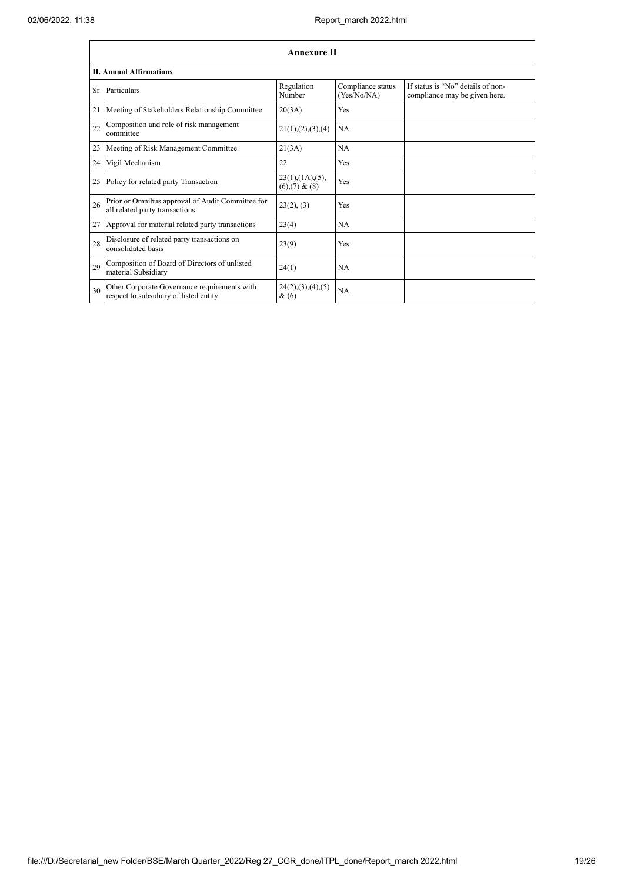|    | <b>Annexure II</b>                                                                     |                                            |                                  |                                                                    |  |  |
|----|----------------------------------------------------------------------------------------|--------------------------------------------|----------------------------------|--------------------------------------------------------------------|--|--|
|    | <b>II. Annual Affirmations</b>                                                         |                                            |                                  |                                                                    |  |  |
| Sr | Particulars                                                                            | Regulation<br>Number                       | Compliance status<br>(Yes/No/NA) | If status is "No" details of non-<br>compliance may be given here. |  |  |
| 21 | Meeting of Stakeholders Relationship Committee                                         | 20(3A)                                     | Yes                              |                                                                    |  |  |
| 22 | Composition and role of risk management<br>committee                                   | 21(1), (2), (3), (4)                       | NA                               |                                                                    |  |  |
| 23 | Meeting of Risk Management Committee                                                   | 21(3A)                                     | <b>NA</b>                        |                                                                    |  |  |
| 24 | Vigil Mechanism                                                                        | 22                                         | Yes                              |                                                                    |  |  |
| 25 | Policy for related party Transaction                                                   | $23(1)$ , $(1A)$ , $(5)$ ,<br>(6)(7) & (8) | Yes                              |                                                                    |  |  |
| 26 | Prior or Omnibus approval of Audit Committee for<br>all related party transactions     | 23(2), (3)                                 | Yes                              |                                                                    |  |  |
| 27 | Approval for material related party transactions                                       | 23(4)                                      | NA                               |                                                                    |  |  |
| 28 | Disclosure of related party transactions on<br>consolidated basis                      | 23(9)                                      | Yes                              |                                                                    |  |  |
| 29 | Composition of Board of Directors of unlisted<br>material Subsidiary                   | 24(1)                                      | <b>NA</b>                        |                                                                    |  |  |
| 30 | Other Corporate Governance requirements with<br>respect to subsidiary of listed entity | 24(2), (3), (4), (5)<br>$\&(6)$            | <b>NA</b>                        |                                                                    |  |  |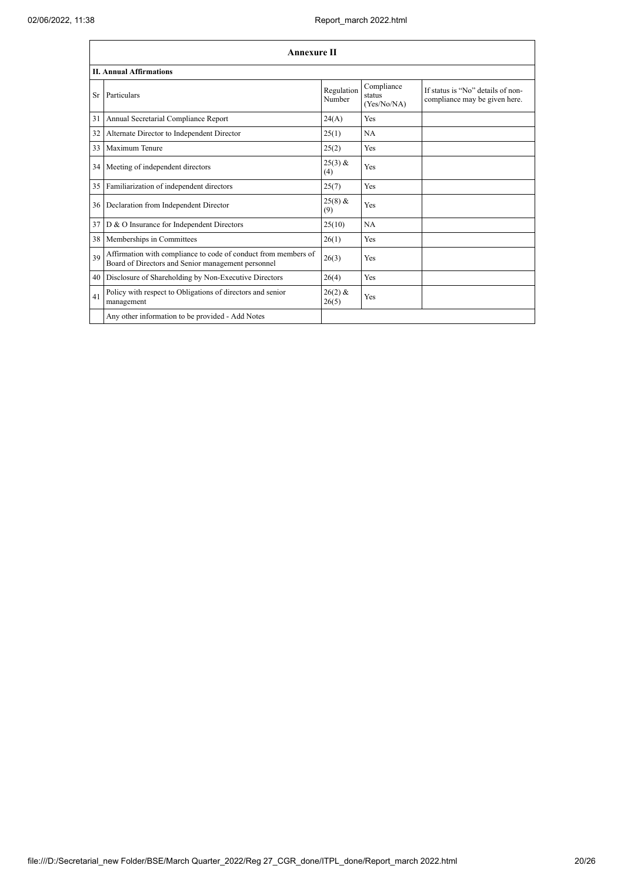|    | <b>Annexure II</b>                                                                                                   |                      |                                     |                                                                    |  |
|----|----------------------------------------------------------------------------------------------------------------------|----------------------|-------------------------------------|--------------------------------------------------------------------|--|
|    | <b>II. Annual Affirmations</b>                                                                                       |                      |                                     |                                                                    |  |
| Sr | Particulars                                                                                                          | Regulation<br>Number | Compliance<br>status<br>(Yes/No/NA) | If status is "No" details of non-<br>compliance may be given here. |  |
| 31 | Annual Secretarial Compliance Report                                                                                 | 24(A)                | <b>Yes</b>                          |                                                                    |  |
| 32 | Alternate Director to Independent Director                                                                           | 25(1)                | NA                                  |                                                                    |  |
| 33 | Maximum Tenure                                                                                                       | 25(2)                | <b>Yes</b>                          |                                                                    |  |
| 34 | Meeting of independent directors                                                                                     | $25(3)$ &<br>(4)     | Yes                                 |                                                                    |  |
| 35 | Familiarization of independent directors                                                                             | 25(7)                | <b>Yes</b>                          |                                                                    |  |
| 36 | Declaration from Independent Director                                                                                | $25(8)$ &<br>(9)     | Yes                                 |                                                                    |  |
| 37 | D & O Insurance for Independent Directors                                                                            | 25(10)               | NA                                  |                                                                    |  |
| 38 | Memberships in Committees                                                                                            | 26(1)                | Yes                                 |                                                                    |  |
| 39 | Affirmation with compliance to code of conduct from members of<br>Board of Directors and Senior management personnel | 26(3)                | Yes                                 |                                                                    |  |
| 40 | Disclosure of Shareholding by Non-Executive Directors                                                                | 26(4)                | Yes                                 |                                                                    |  |
| 41 | Policy with respect to Obligations of directors and senior<br>management                                             | $26(2)$ &<br>26(5)   | Yes                                 |                                                                    |  |
|    | Any other information to be provided - Add Notes                                                                     |                      |                                     |                                                                    |  |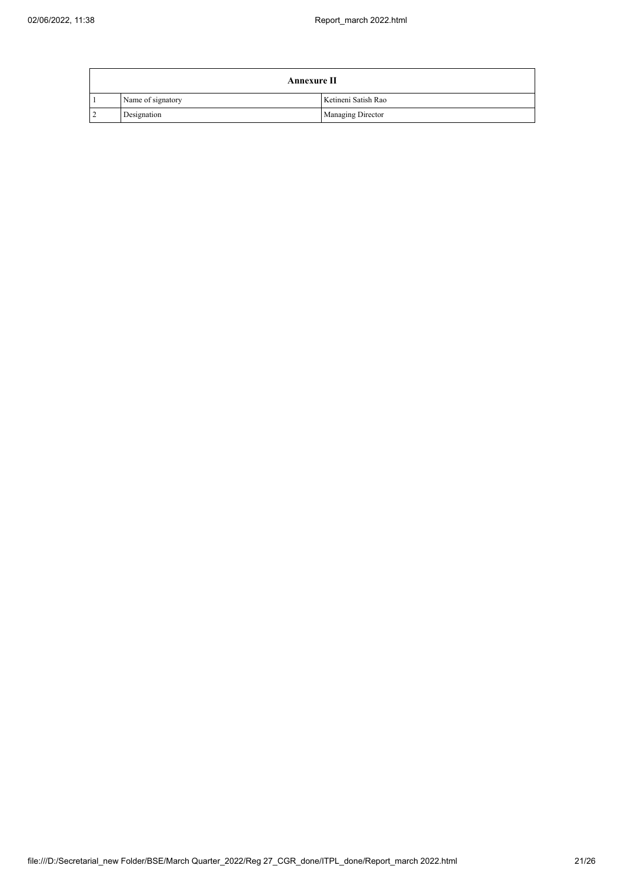|    | <b>Annexure II</b> |                          |  |  |  |
|----|--------------------|--------------------------|--|--|--|
|    | Name of signatory  | Ketineni Satish Rao      |  |  |  |
| 12 | Designation        | <b>Managing Director</b> |  |  |  |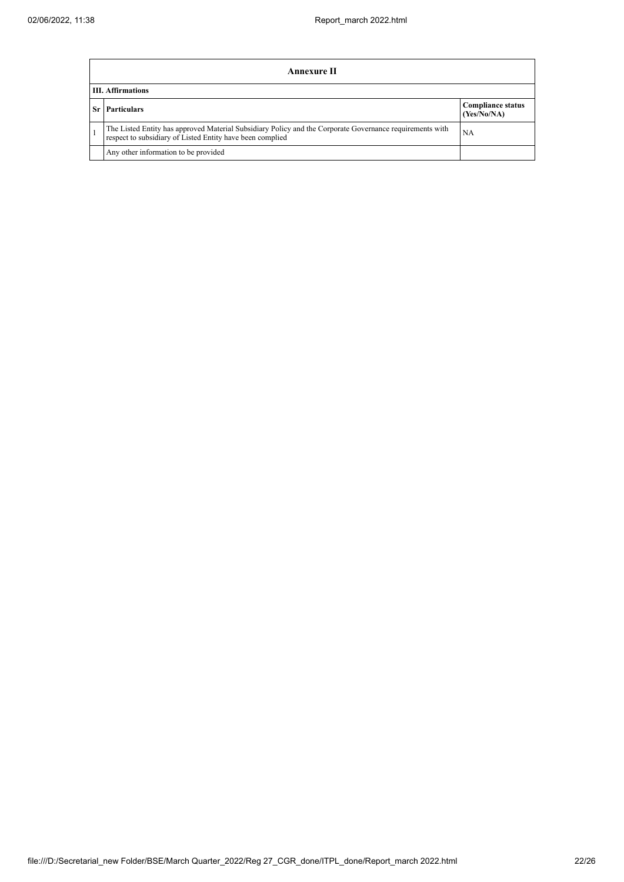|    | Annexure II                                                                                                                                                           |                                         |  |  |  |
|----|-----------------------------------------------------------------------------------------------------------------------------------------------------------------------|-----------------------------------------|--|--|--|
|    | <b>III.</b> Affirmations                                                                                                                                              |                                         |  |  |  |
| Sr | <b>Particulars</b>                                                                                                                                                    | <b>Compliance status</b><br>(Yes/No/NA) |  |  |  |
|    | The Listed Entity has approved Material Subsidiary Policy and the Corporate Governance requirements with<br>respect to subsidiary of Listed Entity have been complied | NA.                                     |  |  |  |
|    | Any other information to be provided                                                                                                                                  |                                         |  |  |  |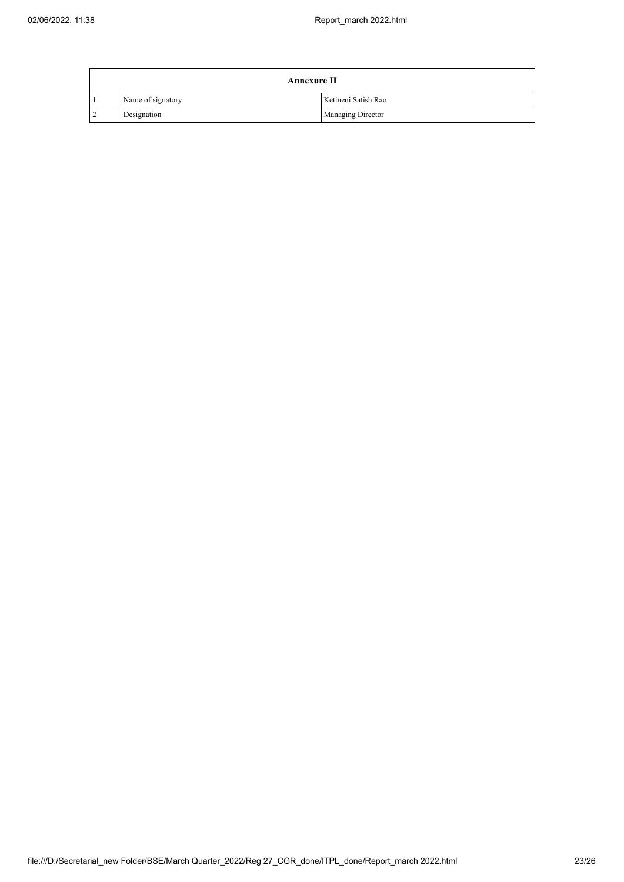| <b>Annexure II</b> |                   |                          |  |  |
|--------------------|-------------------|--------------------------|--|--|
|                    | Name of signatory | Ketineni Satish Rao      |  |  |
| $\overline{2}$     | Designation       | <b>Managing Director</b> |  |  |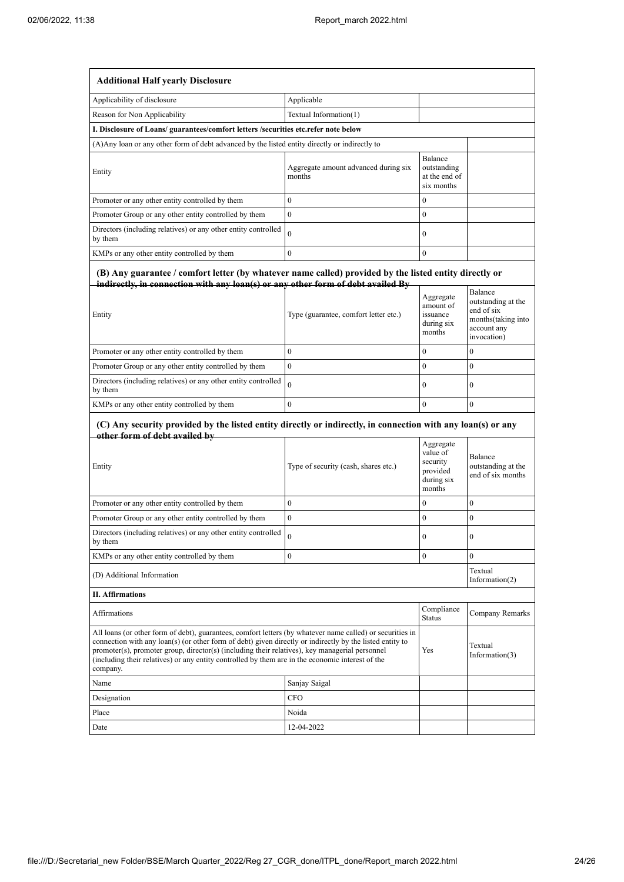| <b>Additional Half yearly Disclosure</b>                                                                                                                                                                                                                                                                                                                                                                                                |                                                |                                                                       |                                                    |  |
|-----------------------------------------------------------------------------------------------------------------------------------------------------------------------------------------------------------------------------------------------------------------------------------------------------------------------------------------------------------------------------------------------------------------------------------------|------------------------------------------------|-----------------------------------------------------------------------|----------------------------------------------------|--|
| Applicability of disclosure                                                                                                                                                                                                                                                                                                                                                                                                             | Applicable                                     |                                                                       |                                                    |  |
| Reason for Non Applicability                                                                                                                                                                                                                                                                                                                                                                                                            | Textual Information(1)                         |                                                                       |                                                    |  |
| I. Disclosure of Loans/ guarantees/comfort letters /securities etc.refer note below                                                                                                                                                                                                                                                                                                                                                     |                                                |                                                                       |                                                    |  |
| (A) Any loan or any other form of debt advanced by the listed entity directly or indirectly to                                                                                                                                                                                                                                                                                                                                          |                                                |                                                                       |                                                    |  |
| Entity                                                                                                                                                                                                                                                                                                                                                                                                                                  | Aggregate amount advanced during six<br>months | Balance<br>outstanding<br>at the end of<br>six months                 |                                                    |  |
| Promoter or any other entity controlled by them                                                                                                                                                                                                                                                                                                                                                                                         | $\boldsymbol{0}$                               | $\bf{0}$                                                              |                                                    |  |
| Promoter Group or any other entity controlled by them                                                                                                                                                                                                                                                                                                                                                                                   | $\mathbf{0}$                                   | $\bf{0}$                                                              |                                                    |  |
| Directors (including relatives) or any other entity controlled<br>by them                                                                                                                                                                                                                                                                                                                                                               | $\theta$                                       | $\boldsymbol{0}$                                                      |                                                    |  |
| KMPs or any other entity controlled by them                                                                                                                                                                                                                                                                                                                                                                                             | $\mathbf{0}$                                   | $\mathbf{0}$                                                          |                                                    |  |
| (B) Any guarantee / comfort letter (by whatever name called) provided by the listed entity directly or<br>indirectly, in connection with any loan(s) or any other form of debt availed By<br>Entity                                                                                                                                                                                                                                     | Type (guarantee, comfort letter etc.)          | Aggregate<br>amount of<br>issuance                                    | Balance<br>outstanding at the<br>end of six        |  |
|                                                                                                                                                                                                                                                                                                                                                                                                                                         |                                                | during six<br>months                                                  | months(taking into<br>account any<br>invocation)   |  |
| Promoter or any other entity controlled by them                                                                                                                                                                                                                                                                                                                                                                                         | $\boldsymbol{0}$                               | $\boldsymbol{0}$                                                      | 0                                                  |  |
| Promoter Group or any other entity controlled by them                                                                                                                                                                                                                                                                                                                                                                                   | $\mathbf{0}$                                   | $\mathbf{0}$                                                          | $\overline{0}$                                     |  |
| Directors (including relatives) or any other entity controlled<br>by them                                                                                                                                                                                                                                                                                                                                                               | $\theta$                                       | $\bf{0}$                                                              | 0                                                  |  |
| KMPs or any other entity controlled by them                                                                                                                                                                                                                                                                                                                                                                                             | $\boldsymbol{0}$                               | $\mathbf{0}$                                                          | $\boldsymbol{0}$                                   |  |
| (C) Any security provided by the listed entity directly or indirectly, in connection with any loan(s) or any<br>other form of debt availed by                                                                                                                                                                                                                                                                                           |                                                |                                                                       |                                                    |  |
| Entity                                                                                                                                                                                                                                                                                                                                                                                                                                  | Type of security (cash, shares etc.)           | Aggregate<br>value of<br>security<br>provided<br>during six<br>months | Balance<br>outstanding at the<br>end of six months |  |
| Promoter or any other entity controlled by them                                                                                                                                                                                                                                                                                                                                                                                         | $\mathbf{0}$                                   | $\bf{0}$                                                              | $\overline{0}$                                     |  |
| Promoter Group or any other entity controlled by them                                                                                                                                                                                                                                                                                                                                                                                   | $\boldsymbol{0}$                               | $\boldsymbol{0}$                                                      | 0                                                  |  |
| Directors (including relatives) or any other entity controlled<br>by them                                                                                                                                                                                                                                                                                                                                                               | 0                                              | v                                                                     | 0                                                  |  |
| KMPs or any other entity controlled by them                                                                                                                                                                                                                                                                                                                                                                                             | $\boldsymbol{0}$                               | $\overline{0}$                                                        | $\overline{0}$                                     |  |
| (D) Additional Information                                                                                                                                                                                                                                                                                                                                                                                                              |                                                |                                                                       | Textual<br>Information $(2)$                       |  |
| <b>II. Affirmations</b>                                                                                                                                                                                                                                                                                                                                                                                                                 |                                                |                                                                       |                                                    |  |
| Affirmations                                                                                                                                                                                                                                                                                                                                                                                                                            |                                                |                                                                       | Company Remarks                                    |  |
| All loans (or other form of debt), guarantees, comfort letters (by whatever name called) or securities in<br>connection with any loan(s) (or other form of debt) given directly or indirectly by the listed entity to<br>promoter(s), promoter group, director(s) (including their relatives), key managerial personnel<br>(including their relatives) or any entity controlled by them are in the economic interest of the<br>company. |                                                | Yes                                                                   | Textual<br>Information(3)                          |  |
| Name                                                                                                                                                                                                                                                                                                                                                                                                                                    | Sanjay Saigal                                  |                                                                       |                                                    |  |
| Designation                                                                                                                                                                                                                                                                                                                                                                                                                             | <b>CFO</b>                                     |                                                                       |                                                    |  |
| Place                                                                                                                                                                                                                                                                                                                                                                                                                                   | Noida                                          |                                                                       |                                                    |  |
| Date                                                                                                                                                                                                                                                                                                                                                                                                                                    | 12-04-2022                                     |                                                                       |                                                    |  |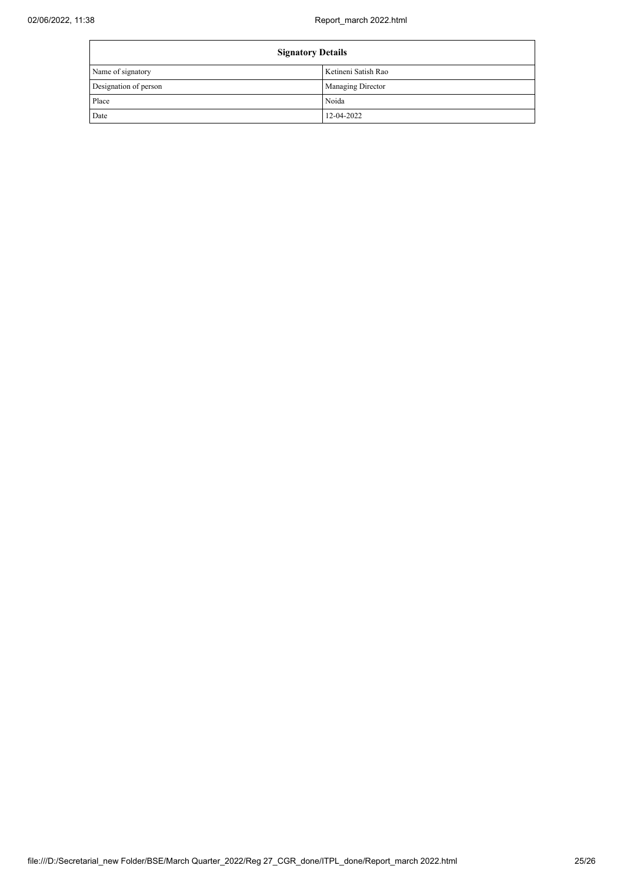| <b>Signatory Details</b> |                     |
|--------------------------|---------------------|
| Name of signatory        | Ketineni Satish Rao |
| Designation of person    | Managing Director   |
| Place                    | Noida               |
| Date                     | 12-04-2022          |